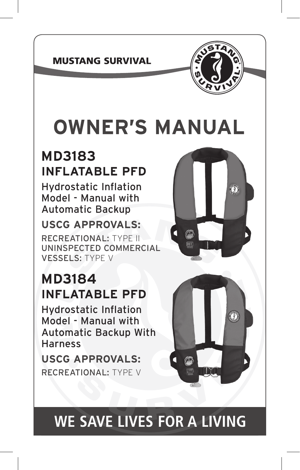#### **MUSTANG SURVIVAL**

# **OWNER'S MANUAL**

 $\overline{\mathbf{O}}$ 

 $\widehat{\mathbb{O}}$ 

a 囮

## **MD3183 Inflatable PFD**

Hydrostatic Inflation Model - Manual with Automatic Backup

#### **uscg aPPROVALS:**

Recreational: Type II Uninspected Commercial Vessels: Type V

## **MD3184 Inflatable PFD**

Hydrostatic Inflation Model - Manual with Automatic Backup With **Harness** 

**uscg aPPROVALS:** RECREATIONAL: TYPE V

## **WE SAVE LIVES FOR A LIVING**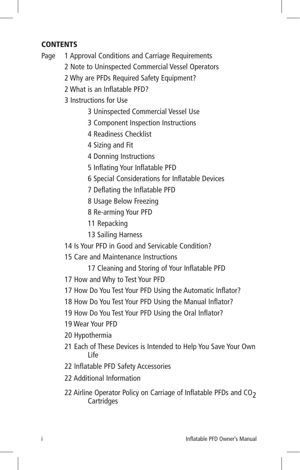#### **CONTENTS**

Page 1 Approval Conditions and Carriage Requirements

2 Note to Uninspected Commercial Vessel Operators

2 Why are PFDs Required Safety Equipment?

2 What is an Inflatable PFD?

3 Instructions for Use

- 3 Uninspected Commercial Vessel Use
- 3 Component Inspection Instructions
- 4 Readiness Checklist
- 4 Sizing and Fit

4 Donning Instructions

- 5 Inflating Your Inflatable PFD
- 6 Special Considerations for Inflatable Devices
- 7 Deflating the Inflatable PFD
- 8 Usage Below Freezing
- 8 Re-arming Your PFD
- 11 Repacking
- 13 Sailing Harness
- 14 Is Your PFD in Good and Servicable Condition?
- 15 Care and Maintenance Instructions
	- 17 Cleaning and Storing of Your Inflatable PFD
- 17 How and Why to Test Your PFD
- 17 How Do You Test Your PFD Using the Automatic Inflator?
- 18 How Do You Test Your PFD Using the Manual Inflator?
- 19 How Do You Test Your PFD Using the Oral Inflator?
- 19 Wear Your PFD
- 20 Hypothermia
- 21 Each of These Devices is Intended to Help You Save Your Own Life
- 22 Inflatable PFD Safety Accessories
- 22 Additional Information
- 22 Airline Operator Policy on Carriage of Inflatable PFDs and CO<sub>2</sub><br>Cartridges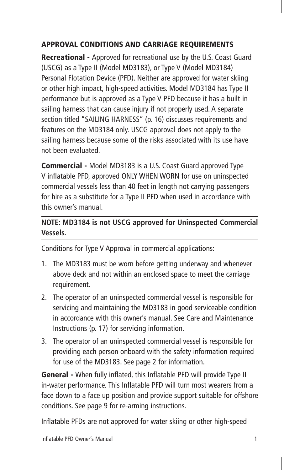#### APPROVAL CONDITIONS AND CARRIAGE REQUIREMENTS

Recreational - Approved for recreational use by the U.S. Coast Guard (USCG) as a Type II (Model MD3183), or Type V (Model MD3184) Personal Flotation Device (PFD). Neither are approved for water skiing or other high impact, high-speed activities. Model MD3184 has Type II performance but is approved as a Type V PFD because it has a built-in sailing harness that can cause injury if not properly used. A separate section titled "SAILING HARNESS" (p. 16) discusses requirements and features on the MD3184 only. USCG approval does not apply to the sailing harness because some of the risks associated with its use have not been evaluated.

Commercial - Model MD3183 is a U.S. Coast Guard approved Type V inflatable PFD, approved ONLY WHEN WORN for use on uninspected commercial vessels less than 40 feet in length not carrying passengers for hire as a substitute for a Type II PFD when used in accordance with this owner's manual.

#### **NOTE: MD3184 is not USCG approved for Uninspected Commercial Vessels.**

Conditions for Type V Approval in commercial applications:

- 1. The MD3183 must be worn before getting underway and whenever above deck and not within an enclosed space to meet the carriage requirement.
- 2. The operator of an uninspected commercial vessel is responsible for servicing and maintaining the MD3183 in good serviceable condition in accordance with this owner's manual. See Care and Maintenance Instructions (p. 17) for servicing information.
- 3. The operator of an uninspected commercial vessel is responsible for providing each person onboard with the safety information required for use of the MD3183. See page 2 for information.

General - When fully inflated, this Inflatable PFD will provide Type II in-water performance. This Inflatable PFD will turn most wearers from a face down to a face up position and provide support suitable for offshore conditions. See page 9 for re-arming instructions.

Inflatable PFDs are not approved for water skiing or other high-speed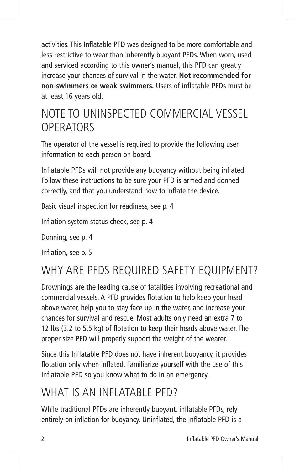activities. This Inflatable PFD was designed to be more comfortable and less restrictive to wear than inherently buoyant PFDs. When worn, used and serviced according to this owner's manual, this PFD can greatly increase your chances of survival in the water. **Not recommended for non-swimmers or weak swimmers.** Users of inflatable PFDs must be at least 16 years old.

#### NOTE TO UNINSPECTED COMMERCIAL VESSEL **OPERATORS**

The operator of the vessel is required to provide the following user information to each person on board.

Inflatable PFDs will not provide any buoyancy without being inflated. Follow these instructions to be sure your PFD is armed and donned correctly, and that you understand how to inflate the device.

Basic visual inspection for readiness, see p. 4

Inflation system status check, see p. 4

Donning, see p. 4

Inflation, see p. 5

## WHY ARE PFDS REQUIRED SAFETY EQUIPMENT?

Drownings are the leading cause of fatalities involving recreational and commercial vessels. A PFD provides flotation to help keep your head above water, help you to stay face up in the water, and increase your chances for survival and rescue. Most adults only need an extra 7 to 12 lbs (3.2 to 5.5 kg) of flotation to keep their heads above water. The proper size PFD will properly support the weight of the wearer.

Since this Inflatable PFD does not have inherent buoyancy, it provides flotation only when inflated. Familiarize yourself with the use of this Inflatable PFD so you know what to do in an emergency.

## WHAT IS AN INFLATABLE PED?

While traditional PFDs are inherently buoyant, inflatable PFDs, rely entirely on inflation for buoyancy. Uninflated, the Inflatable PFD is a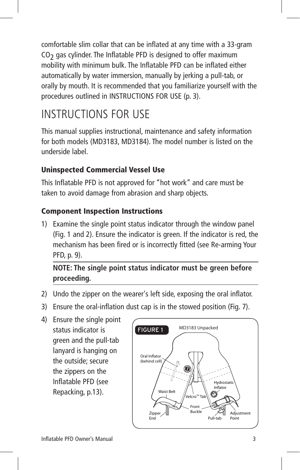comfortable slim collar that can be inflated at any time with a 33-gram  $CO<sub>2</sub>$  gas cylinder. The Inflatable PFD is designed to offer maximum mobility with minimum bulk. The Inflatable PFD can be inflated either automatically by water immersion, manually by jerking a pull-tab, or orally by mouth. It is recommended that you familiarize yourself with the procedures outlined in INSTRUCTIONS FOR USE (p. 3).

## INSTRUCTIONS FOR USE

This manual supplies instructional, maintenance and safety information for both models (MD3183, MD3184). The model number is listed on the underside label.

#### Uninspected Commercial Vessel Use

This Inflatable PFD is not approved for "hot work" and care must be taken to avoid damage from abrasion and sharp objects.

#### Component Inspection Instructions

1) Examine the single point status indicator through the window panel (Fig. 1 and 2). Ensure the indicator is green. If the indicator is red, the mechanism has been fired or is incorrectly fitted (see Re-arming Your PFD, p. 9).

#### **NOTE: The single point status indicator must be green before proceeding.**

- 2) Undo the zipper on the wearer's left side, exposing the oral inflator.
- 3) Ensure the oral-inflation dust cap is in the stowed position (Fig. 7).
- 4) Ensure the single point status indicator is green and the pull-tab lanyard is hanging on the outside; secure the zippers on the Inflatable PFD (see Repacking, p.13).

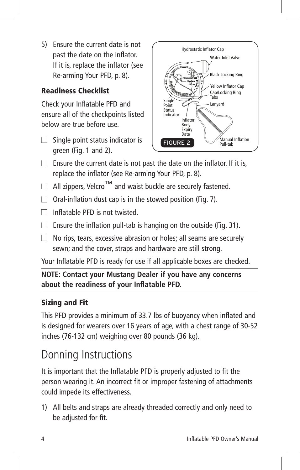5) Ensure the current date is not past the date on the inflator. If it is, replace the inflator (see Re-arming Your PFD, p. 8).

#### Readiness Checklist

Check your Inflatable PFD and ensure all of the checkpoints listed below are true before use.

 $\Box$  Single point status indicator is green (Fig. 1 and 2).



- $\Box$  Ensure the current date is not past the date on the inflator. If it is, replace the inflator (see Re-arming Your PFD, p. 8).
- $\Box$  All zippers, Velcro<sup>™</sup> and waist buckle are securely fastened.
- $\Box$  Oral-inflation dust cap is in the stowed position (Fig. 7).
- $\Box$  Inflatable PFD is not twisted.
- $\Box$  Ensure the inflation pull-tab is hanging on the outside (Fig. 31).
- $\Box$  No rips, tears, excessive abrasion or holes; all seams are securely sewn; and the cover, straps and hardware are still strong.

Your Inflatable PFD is ready for use if all applicable boxes are checked.

#### **NOTE: Contact your Mustang Dealer if you have any concerns about the readiness of your Inflatable PFD.**

#### Sizing and Fit

This PFD provides a minimum of 33.7 lbs of buoyancy when inflated and is designed for wearers over 16 years of age, with a chest range of 30-52 inches (76-132 cm) weighing over 80 pounds (36 kg).

#### Donning Instructions

It is important that the Inflatable PFD is properly adjusted to fit the person wearing it. An incorrect fit or improper fastening of attachments could impede its effectiveness.

1) All belts and straps are already threaded correctly and only need to be adjusted for fit.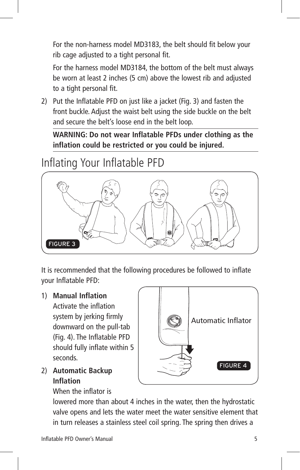For the non-harness model MD3183, the belt should fit below your rib cage adjusted to a tight personal fit.

For the harness model MD3184, the bottom of the belt must always be worn at least 2 inches (5 cm) above the lowest rib and adjusted to a tight personal fit.

2) Put the Inflatable PFD on just like a jacket (Fig. 3) and fasten the front buckle. Adjust the waist belt using the side buckle on the belt and secure the belt's loose end in the belt loop.

**WARNING: Do not wear Inflatable PFDs under clothing as the inflation could be restricted or you could be injured.**

#### Inflating Your Inflatable PFD



It is recommended that the following procedures be followed to inflate your Inflatable PFD:

#### 1) **Manual Inflation**

Activate the inflation system by jerking firmly downward on the pull-tab (Fig. 4). The Inflatable PFD should fully inflate within 5 seconds.

2) **Automatic Backup Inflation**  When the inflator is

Automatic Inflator Figure 4

lowered more than about 4 inches in the water, then the hydrostatic valve opens and lets the water meet the water sensitive element that in turn releases a stainless steel coil spring. The spring then drives a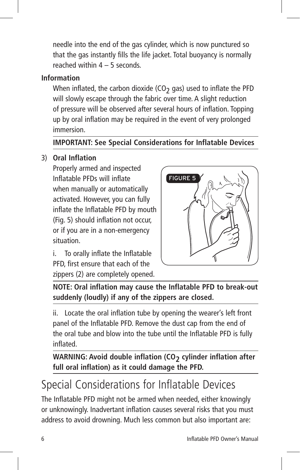needle into the end of the gas cylinder, which is now punctured so that the gas instantly fills the life jacket. Total buoyancy is normally reached within 4 – 5 seconds.

#### **Information**

When inflated, the carbon dioxide (CO<sub>2</sub> gas) used to inflate the PFD will slowly escape through the fabric over time. A slight reduction of pressure will be observed after several hours of inflation. Topping up by oral inflation may be required in the event of very prolonged immersion.

#### **IMPORTANT: See Special Considerations for Inflatable Devices**

#### 3) **Oral Inflation**

Properly armed and inspected Inflatable PFDs will inflate when manually or automatically activated. However, you can fully inflate the Inflatable PFD by mouth (Fig. 5) should inflation not occur, or if you are in a non-emergency situation.

i. To orally inflate the Inflatable PFD, first ensure that each of the zippers (2) are completely opened.



**NOTE: Oral inflation may cause the Inflatable PFD to break-out suddenly (loudly) if any of the zippers are closed.**

ii. Locate the oral inflation tube by opening the wearer's left front panel of the Inflatable PFD. Remove the dust cap from the end of the oral tube and blow into the tube until the Inflatable PFD is fully inflated.

**WARNING: Avoid double inflation (CO<sub>2</sub> cylinder inflation after full oral inflation) as it could damage the PFD.**

## Special Considerations for Inflatable Devices

The Inflatable PFD might not be armed when needed, either knowingly or unknowingly. Inadvertant inflation causes several risks that you must address to avoid drowning. Much less common but also important are: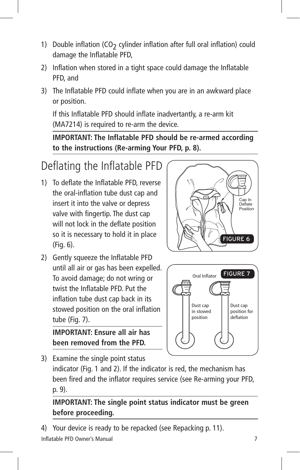- 1) Double inflation (CO<sub>2</sub> cylinder inflation after full oral inflation) could damage the Inflatable PFD,
- 2) Inflation when stored in a tight space could damage the Inflatable PFD, and
- 3) The Inflatable PFD could inflate when you are in an awkward place or position.

If this Inflatable PFD should inflate inadvertantly, a re-arm kit (MA7214) is required to re-arm the device.

**IMPORTANT: The Inflatable PFD should be re-armed according to the instructions (Re-arming Your PFD, p. 8).** 

## Deflating the Inflatable PFD

- 1) To deflate the Inflatable PFD, reverse the oral-inflation tube dust cap and insert it into the valve or depress valve with fingertip. The dust cap will not lock in the deflate position so it is necessary to hold it in place (Fig. 6).
- 2) Gently squeeze the Inflatable PFD until all air or gas has been expelled. To avoid damage; do not wring or twist the Inflatable PFD. Put the inflation tube dust cap back in its stowed position on the oral inflation tube (Fig. 7).

**IMPORTANT: Ensure all air has been removed from the PFD.**





3) Examine the single point status

indicator (Fig. 1 and 2). If the indicator is red, the mechanism has been fired and the inflator requires service (see Re-arming your PFD, p. 9).

#### **IMPORTANT: The single point status indicator must be green before proceeding.**

Inflatable PFD Owner's Manual 7 4) Your device is ready to be repacked (see Repacking p. 11).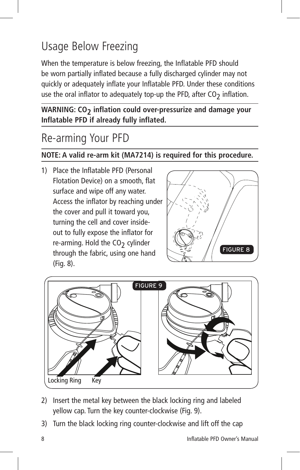## Usage Below Freezing

When the temperature is below freezing, the Inflatable PFD should be worn partially inflated because a fully discharged cylinder may not quickly or adequately inflate your Inflatable PFD. Under these conditions use the oral inflator to adequately top-up the PFD, after  $CO<sub>2</sub>$  inflation.

WARNING: CO<sub>2</sub> inflation could over-pressurize and damage your **Inflatable PFD if already fully inflated.**

## Re-arming Your PFD

**NOTE: A valid re-arm kit (MA7214) is required for this procedure.** 

1) Place the Inflatable PFD (Personal Flotation Device) on a smooth, flat surface and wipe off any water. Access the inflator by reaching under the cover and pull it toward you, turning the cell and cover insideout to fully expose the inflator for re-arming. Hold the  $CO<sub>2</sub>$  cylinder through the fabric, using one hand (Fig. 8).





- 2) Insert the metal key between the black locking ring and labeled yellow cap. Turn the key counter-clockwise (Fig. 9).
- 3) Turn the black locking ring counter-clockwise and lift off the cap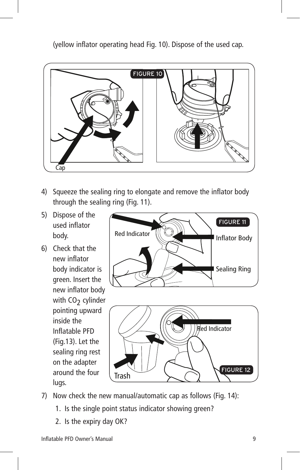(yellow inflator operating head Fig. 10). Dispose of the used cap.



- 4) Squeeze the sealing ring to elongate and remove the inflator body through the sealing ring (Fig. 11).
- 5) Dispose of the used inflator body.
- 6) Check that the new inflator body indicator is green. Insert the new inflator body with  $CO<sub>2</sub>$  cylinder pointing upward inside the Inflatable PFD (Fig.13). Let the sealing ring rest on the adapter around the four lugs.





- 7) Now check the new manual/automatic cap as follows (Fig. 14):
	- 1. Is the single point status indicator showing green?
	- 2. Is the expiry day OK?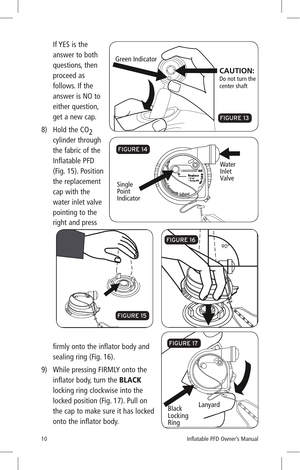If YES is the answer to both questions, then proceed as follows. If the answer is NO to either question, get a new cap.

8) Hold the  $CO<sub>2</sub>$ cylinder through the fabric of the Inflatable PFD (Fig. 15). Position the replacement cap with the water inlet valve pointing to the right and press





firmly onto the inflator body and sealing ring (Fig. 16).

9) While pressing FIRMLY onto the inflator body, turn the BLACK locking ring clockwise into the locked position (Fig. 17). Pull on the cap to make sure it has locked onto the inflator body.





10 **Inflatable PFD Owner's Manual**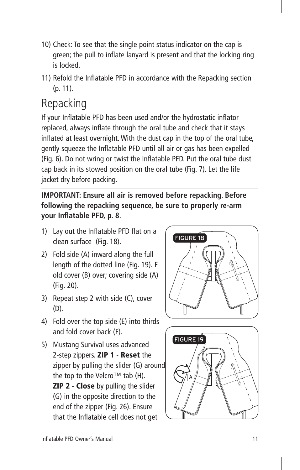- 10) Check: To see that the single point status indicator on the cap is green; the pull to inflate lanyard is present and that the locking ring is locked.
- 11) Refold the Inflatable PFD in accordance with the Repacking section (p. 11).

## Repacking

If your Inflatable PFD has been used and/or the hydrostatic inflator replaced, always inflate through the oral tube and check that it stays inflated at least overnight. With the dust cap in the top of the oral tube, gently squeeze the Inflatable PFD until all air or gas has been expelled (Fig. 6). Do not wring or twist the Inflatable PFD. Put the oral tube dust cap back in its stowed position on the oral tube (Fig. 7). Let the life jacket dry before packing.

**IMPORTANT: Ensure all air is removed before repacking**. **Before following the repacking sequence, be sure to properly re-arm your Inflatable PFD, p. 8**.

- 1) Lay out the Inflatable PFD flat on a clean surface (Fig. 18).
- 2) Fold side (A) inward along the full length of the dotted line (Fig. 19). F old cover (B) over; covering side (A) (Fig. 20).
- 3) Repeat step 2 with side (C), cover (D).
- 4) Fold over the top side (E) into thirds and fold cover back (F).
- 5) Mustang Survival uses advanced 2-step zippers. **ZIP 1 - Reset** the zipper by pulling the slider (G) around the top to the Velcro™ tab (H). **ZIP 2 - Close** by pulling the slider (G) in the opposite direction to the end of the zipper (Fig. 26). Ensure that the Inflatable cell does not get



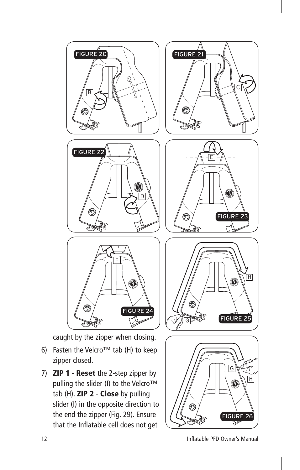

caught by the zipper when closing.

- 6) Fasten the Velcro™ tab (H) to keep zipper closed.
- 7) **ZIP 1 Reset** the 2-step zipper by pulling the slider (I) to the Velcro™ tab (H). ZIP 2 - Close by pulling slider (I) in the opposite direction to the end the zipper (Fig. 29). Ensure that the Inflatable cell does not get



12 Inflatable PFD Owner's Manual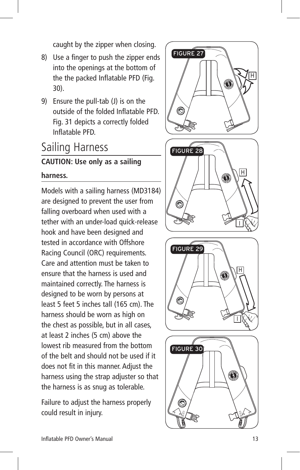caught by the zipper when closing.

- 8) Use a finger to push the zipper ends into the openings at the bottom of the the packed Inflatable PFD (Fig. 30).
- 9) Ensure the pull-tab (J) is on the outside of the folded Inflatable PFD. Fig. 31 depicts a correctly folded Inflatable PFD.

#### Sailing Harness **CAUTION: Use only as a sailing**

#### **harness.**

Models with a sailing harness (MD3184) are designed to prevent the user from falling overboard when used with a tether with an under-load quick-release hook and have been designed and tested in accordance with Offshore Racing Council (ORC) requirements. Care and attention must be taken to ensure that the harness is used and maintained correctly. The harness is designed to be worn by persons at least 5 feet 5 inches tall (165 cm). The harness should be worn as high on the chest as possible, but in all cases, at least 2 inches (5 cm) above the lowest rib measured from the bottom of the belt and should not be used if it does not fit in this manner. Adjust the harness using the strap adjuster so that the harness is as snug as tolerable.

Failure to adjust the harness properly could result in injury.







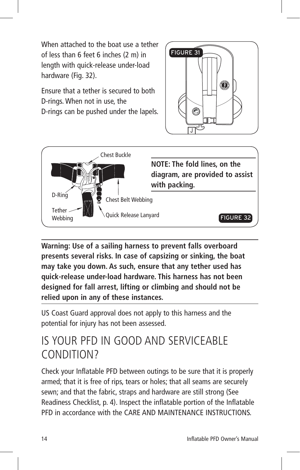When attached to the boat use a tether of less than 6 feet 6 inches (2 m) in length with quick-release under-load hardware (Fig. 32).

Ensure that a tether is secured to both D-rings. When not in use, the D-rings can be pushed under the lapels.





**Warning: Use of a sailing harness to prevent falls overboard presents several risks. In case of capsizing or sinking, the boat may take you down. As such, ensure that any tether used has quick-release under-load hardware. This harness has not been designed for fall arrest, lifting or climbing and should not be relied upon in any of these instances.**

US Coast Guard approval does not apply to this harness and the potential for injury has not been assessed.

## IS YOUR PFD IN GOOD AND SERVICEABLE CONDITION?

Check your Inflatable PFD between outings to be sure that it is properly armed; that it is free of rips, tears or holes; that all seams are securely sewn; and that the fabric, straps and hardware are still strong (See Readiness Checklist, p. 4). Inspect the inflatable portion of the Inflatable PED in accordance with the CARE AND MAINTENANCE INSTRUCTIONS.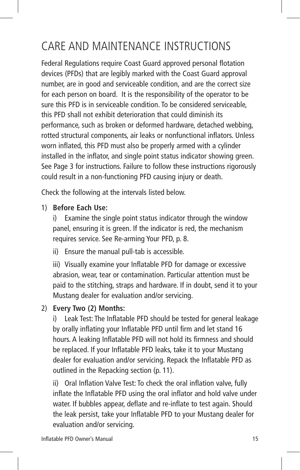## CARE AND MAINTENANCE INSTRUCTIONS

Federal Regulations require Coast Guard approved personal flotation devices (PFDs) that are legibly marked with the Coast Guard approval number, are in good and serviceable condition, and are the correct size for each person on board. It is the responsibility of the operator to be sure this PFD is in serviceable condition. To be considered serviceable, this PFD shall not exhibit deterioration that could diminish its performance, such as broken or deformed hardware, detached webbing, rotted structural components, air leaks or nonfunctional inflators. Unless worn inflated, this PFD must also be properly armed with a cylinder installed in the inflator, and single point status indicator showing green. See Page 3 for instructions. Failure to follow these instructions rigorously could result in a non-functioning PFD causing injury or death.

Check the following at the intervals listed below.

#### 1) **Before Each Use:**

i) Examine the single point status indicator through the window panel, ensuring it is green. If the indicator is red, the mechanism requires service. See Re-arming Your PFD, p. 8.

ii) Ensure the manual pull-tab is accessible.

iii) Visually examine your Inflatable PFD for damage or excessive abrasion, wear, tear or contamination. Particular attention must be paid to the stitching, straps and hardware. If in doubt, send it to your Mustang dealer for evaluation and/or servicing.

#### 2) **Every Two (2) Months:**

i) Leak Test: The Inflatable PFD should be tested for general leakage by orally inflating your Inflatable PFD until firm and let stand 16 hours. A leaking Inflatable PFD will not hold its firmness and should be replaced. If your Inflatable PFD leaks, take it to your Mustang dealer for evaluation and/or servicing. Repack the Inflatable PFD as outlined in the Repacking section (p. 11).

ii) Oral Inflation Valve Test: To check the oral inflation valve, fully inflate the Inflatable PFD using the oral inflator and hold valve under water. If bubbles appear, deflate and re-inflate to test again. Should the leak persist, take your Inflatable PFD to your Mustang dealer for evaluation and/or servicing.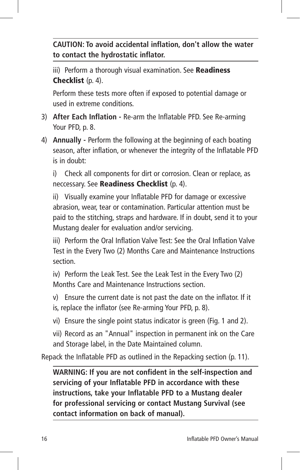**CAUTION: To avoid accidental inflation, don't allow the water to contact the hydrostatic inflator.**

iii) Perform a thorough visual examination. See Readiness Checklist (p. 4).

Perform these tests more often if exposed to potential damage or used in extreme conditions.

- 3) **After Each Inflation -** Re-arm the Inflatable PFD. See Re-arming Your PFD, p. 8.
- 4) **Annually -** Perform the following at the beginning of each boating season, after inflation, or whenever the integrity of the Inflatable PFD is in doubt:

i) Check all components for dirt or corrosion. Clean or replace, as neccessary. See Readiness Checklist (p. 4).

ii) Visually examine your Inflatable PFD for damage or excessive abrasion, wear, tear or contamination. Particular attention must be paid to the stitching, straps and hardware. If in doubt, send it to your Mustang dealer for evaluation and/or servicing.

iii) Perform the Oral Inflation Valve Test: See the Oral Inflation Valve Test in the Every Two (2) Months Care and Maintenance Instructions section.

iv) Perform the Leak Test. See the Leak Test in the Every Two (2) Months Care and Maintenance Instructions section.

v) Ensure the current date is not past the date on the inflator. If it is, replace the inflator (see Re-arming Your PFD, p. 8).

vi) Ensure the single point status indicator is green (Fig. 1 and 2).

vii) Record as an "Annual" inspection in permanent ink on the Care and Storage label, in the Date Maintained column.

Repack the Inflatable PFD as outlined in the Repacking section (p. 11).

**WARNING: If you are not confident in the self-inspection and servicing of your Inflatable PFD in accordance with these instructions, take your Inflatable PFD to a Mustang dealer for professional servicing or contact Mustang Survival (see contact information on back of manual).**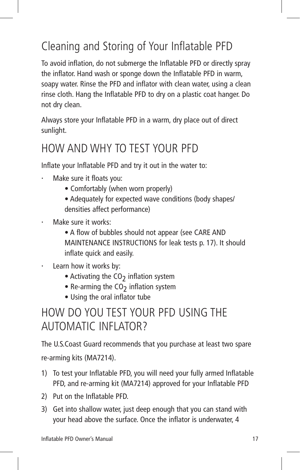## Cleaning and Storing of Your Inflatable PFD

To avoid inflation, do not submerge the Inflatable PFD or directly spray the inflator. Hand wash or sponge down the Inflatable PFD in warm, soapy water. Rinse the PFD and inflator with clean water, using a clean rinse cloth. Hang the Inflatable PFD to dry on a plastic coat hanger. Do not dry clean.

Always store your Inflatable PFD in a warm, dry place out of direct sunlight.

#### HOW AND WHY TO TEST YOUR PFD

Inflate your Inflatable PFD and try it out in the water to:

- Make sure it floats you:
	- Comfortably (when worn properly)
	- Adequately for expected wave conditions (body shapes/ densities affect performance)
- · Make sure it works:
	- A flow of bubbles should not appear (see CARE AND MAINTENANCE INSTRUCTIONS for leak tests p. 17). It should inflate quick and easily.
- Learn how it works by:
	- Activating the  $CO<sub>2</sub>$  inflation system
	- Re-arming the  $CO<sub>2</sub>$  inflation system
	- Using the oral inflator tube

#### HOW DO YOU TEST YOUR PFD USING THE AUTOMATIC INFLATOR?

The U.S.Coast Guard recommends that you purchase at least two spare re-arming kits (MA7214).

- 1) To test your Inflatable PFD, you will need your fully armed Inflatable PFD, and re-arming kit (MA7214) approved for your Inflatable PFD
- 2) Put on the Inflatable PFD.
- 3) Get into shallow water, just deep enough that you can stand with your head above the surface. Once the inflator is underwater, 4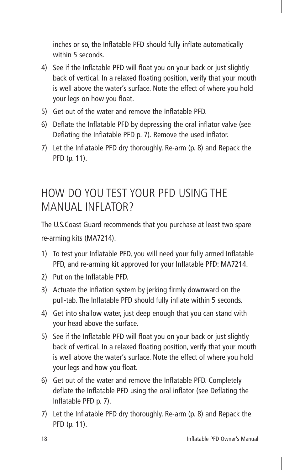inches or so, the Inflatable PFD should fully inflate automatically within 5 seconds.

- 4) See if the Inflatable PFD will float you on your back or just slightly back of vertical. In a relaxed floating position, verify that your mouth is well above the water's surface. Note the effect of where you hold your legs on how you float.
- 5) Get out of the water and remove the Inflatable PFD.
- 6) Deflate the Inflatable PFD by depressing the oral inflator valve (see Deflating the Inflatable PFD p. 7). Remove the used inflator.
- 7) Let the Inflatable PFD dry thoroughly. Re-arm (p. 8) and Repack the PFD (p. 11).

#### HOW DO YOU TEST YOUR PFD USING THE MANUAL INFLATOR?

The U.S.Coast Guard recommends that you purchase at least two spare re-arming kits (MA7214).

- 1) To test your Inflatable PFD, you will need your fully armed Inflatable PFD, and re-arming kit approved for your Inflatable PFD: MA7214.
- 2) Put on the Inflatable PFD.
- 3) Actuate the inflation system by jerking firmly downward on the pull-tab. The Inflatable PFD should fully inflate within 5 seconds.
- 4) Get into shallow water, just deep enough that you can stand with your head above the surface.
- 5) See if the Inflatable PFD will float you on your back or just slightly back of vertical. In a relaxed floating position, verify that your mouth is well above the water's surface. Note the effect of where you hold your legs and how you float.
- 6) Get out of the water and remove the Inflatable PFD. Completely deflate the Inflatable PFD using the oral inflator (see Deflating the Inflatable PFD p. 7).
- 7) Let the Inflatable PFD dry thoroughly. Re-arm (p. 8) and Repack the PFD (p. 11).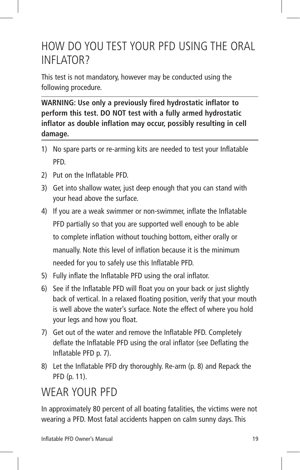#### HOW DO YOU TEST YOUR PFD USING THE ORAL INFLATOR?

This test is not mandatory, however may be conducted using the following procedure.

**WARNING: Use only a previously fired hydrostatic inflator to perform this test. DO NOT test with a fully armed hydrostatic inflator as double inflation may occur, possibly resulting in cell damage.** 

- 1) No spare parts or re-arming kits are needed to test your Inflatable PFD.
- 2) Put on the Inflatable PFD.
- 3) Get into shallow water, just deep enough that you can stand with your head above the surface.
- 4) If you are a weak swimmer or non-swimmer, inflate the Inflatable PFD partially so that you are supported well enough to be able to complete inflation without touching bottom, either orally or manually. Note this level of inflation because it is the minimum needed for you to safely use this Inflatable PFD.
- 5) Fully inflate the Inflatable PFD using the oral inflator.
- 6) See if the Inflatable PFD will float you on your back or just slightly back of vertical. In a relaxed floating position, verify that your mouth is well above the water's surface. Note the effect of where you hold your legs and how you float.
- 7) Get out of the water and remove the Inflatable PFD. Completely deflate the Inflatable PFD using the oral inflator (see Deflating the Inflatable PFD p. 7).
- 8) Let the Inflatable PFD dry thoroughly. Re-arm (p. 8) and Repack the PFD (p. 11).

#### WEAR YOUR PFD

In approximately 80 percent of all boating fatalities, the victims were not wearing a PFD. Most fatal accidents happen on calm sunny days. This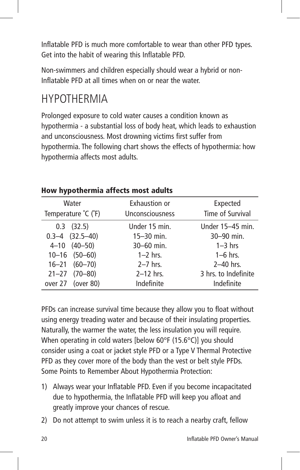Inflatable PFD is much more comfortable to wear than other PFD types. Get into the habit of wearing this Inflatable PFD.

Non-swimmers and children especially should wear a hybrid or non-Inflatable PFD at all times when on or near the water.

#### HYPOTHERMIA

Prolonged exposure to cold water causes a condition known as hypothermia - a substantial loss of body heat, which leads to exhaustion and unconsciousness. Most drowning victims first suffer from hypothermia. The following chart shows the effects of hypothermia: how hypothermia affects most adults.

| Water<br>Temperature °C (°F) | Exhaustion or<br>Unconsciousness | Expected<br>Time of Survival |
|------------------------------|----------------------------------|------------------------------|
| $0.3$ (32.5)                 | Under 15 min.                    | Under 15-45 min.             |
| $0.3 - 4$ $(32.5 - 40)$      | $15 - 30$ min.                   | 30-90 min.                   |
| $4-10$ $(40-50)$             | 30-60 min.                       | $1-3$ hrs                    |
| $10-16$ $(50-60)$            | $1-2$ hrs.                       | $1-6$ hrs.                   |
| $16 - 21$ $(60 - 70)$        | $2-7$ hrs.                       | $2-40$ hrs.                  |
| $21 - 27$ $(70 - 80)$        | $2-12$ hrs.                      | 3 hrs. to Indefinite         |
| over 27 (over 80)            | Indefinite                       | Indefinite                   |

#### How hypothermia affects most adults

PFDs can increase survival time because they allow you to float without using energy treading water and because of their insulating properties. Naturally, the warmer the water, the less insulation you will require. When operating in cold waters [below 60°F (15.6°C)] you should consider using a coat or jacket style PFD or a Type V Thermal Protective PFD as they cover more of the body than the vest or belt style PFDs. Some Points to Remember About Hypothermia Protection:

- 1) Always wear your Inflatable PFD. Even if you become incapacitated due to hypothermia, the Inflatable PFD will keep you afloat and greatly improve your chances of rescue.
- 2) Do not attempt to swim unless it is to reach a nearby craft, fellow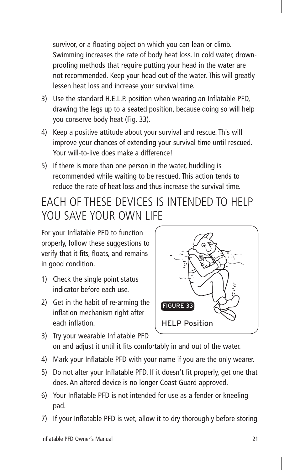survivor, or a floating object on which you can lean or climb. Swimming increases the rate of body heat loss. In cold water, drownproofing methods that require putting your head in the water are not recommended. Keep your head out of the water. This will greatly lessen heat loss and increase your survival time.

- 3) Use the standard H.E.L.P. position when wearing an Inflatable PFD, drawing the legs up to a seated position, because doing so will help you conserve body heat (Fig. 33).
- 4) Keep a positive attitude about your survival and rescue. This will improve your chances of extending your survival time until rescued. Your will-to-live does make a difference!
- 5) If there is more than one person in the water, huddling is recommended while waiting to be rescued. This action tends to reduce the rate of heat loss and thus increase the survival time.

## EACH OF THESE DEVICES IS INTENDED TO HELP YOU SAVE YOUR OWN LIFE

For your Inflatable PFD to function properly, follow these suggestions to verify that it fits, floats, and remains in good condition.

- 1) Check the single point status indicator before each use.
- 2) Get in the habit of re-arming the inflation mechanism right after each inflation.



- 3) Try your wearable Inflatable PFD on and adjust it until it fits comfortably in and out of the water.
- 4) Mark your Inflatable PFD with your name if you are the only wearer.
- 5) Do not alter your Inflatable PFD. If it doesn't fit properly, get one that does. An altered device is no longer Coast Guard approved.
- 6) Your Inflatable PFD is not intended for use as a fender or kneeling pad.
- 7) If your Inflatable PFD is wet, allow it to dry thoroughly before storing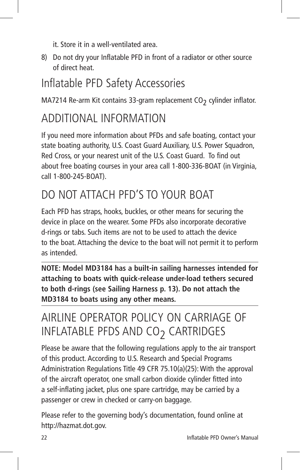it. Store it in a well-ventilated area.

8) Do not dry your Inflatable PFD in front of a radiator or other source of direct heat.

## Inflatable PFD Safety Accessories

MA7214 Re-arm Kit contains 33-gram replacement  $CO<sub>2</sub>$  cylinder inflator.

## ADDITIONAL INFORMATION

If you need more information about PFDs and safe boating, contact your state boating authority, U.S. Coast Guard Auxiliary, U.S. Power Squadron, Red Cross, or your nearest unit of the U.S. Coast Guard. To find out about free boating courses in your area call 1-800-336-BOAT (in Virginia, call 1-800-245-BOAT).

## DO NOT ATTACH PFD'S TO YOUR BOAT

Each PFD has straps, hooks, buckles, or other means for securing the device in place on the wearer. Some PFDs also incorporate decorative d-rings or tabs. Such items are not to be used to attach the device to the boat. Attaching the device to the boat will not permit it to perform as intended.

**NOTE: Model MD3184 has a built-in sailing harnesses intended for attaching to boats with quick-release under-load tethers secured to both d-rings (see Sailing Harness p. 13). Do not attach the MD3184 to boats using any other means.**

## AIRLINE OPERATOR POLICY ON CARRIAGE OF INFLATABLE PFDS AND  $CO<sub>2</sub>$  CARTRIDGES

Please be aware that the following regulations apply to the air transport of this product. According to U.S. Research and Special Programs Administration Regulations Title 49 CFR 75.10(a)(25): With the approval of the aircraft operator, one small carbon dioxide cylinder fitted into a self-inflating jacket, plus one spare cartridge, may be carried by a passenger or crew in checked or carry-on baggage.

Please refer to the governing body's documentation, found online at http://hazmat.dot.gov.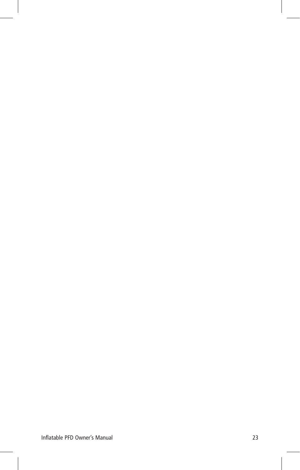Inflatable PFD Owner's Manual 23

Ï

I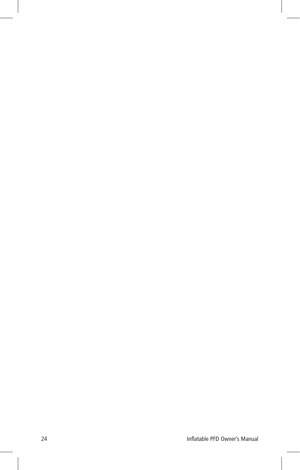$\overline{\phantom{a}}$ 

Í

I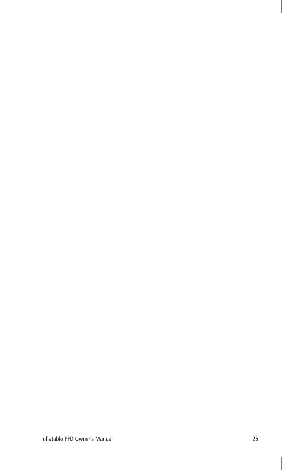Inflatable PFD Owner's Manual 25

Ï

I